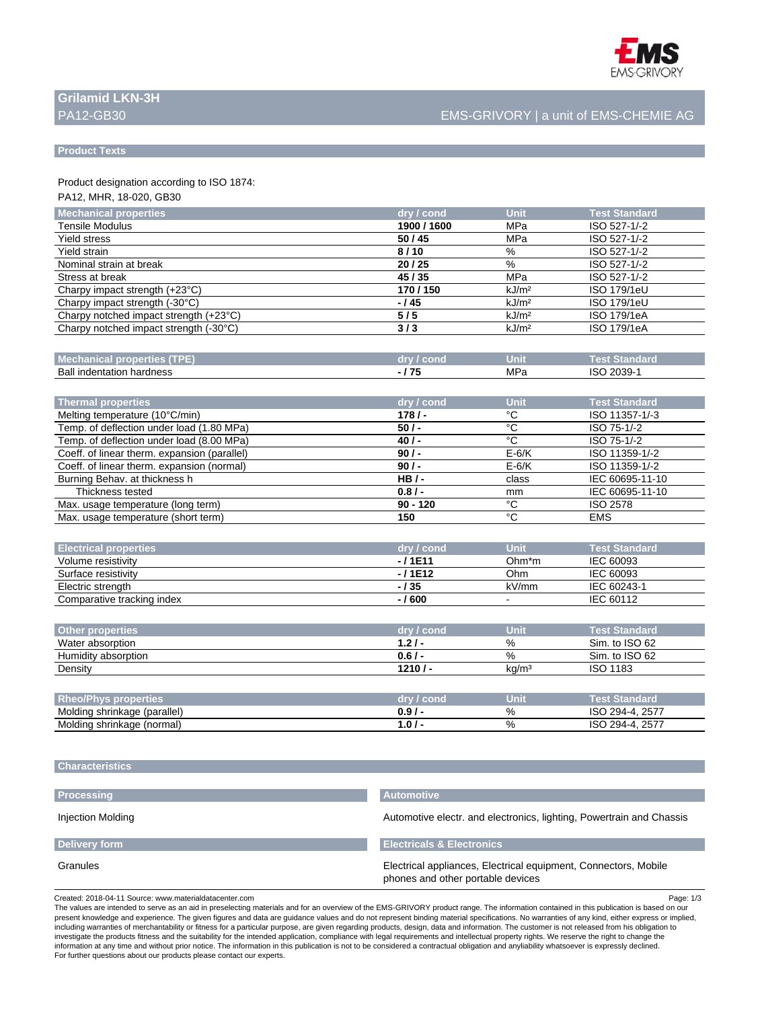

# **Grilamid LKN-3H**

## PA12-GB30 EMS-GRIVORY | a unit of EMS-CHEMIE AG

## **Product Texts**

Product designation according to ISO 1874:

## PA12, MHR, 18-020, GB30

| <b>Mechanical properties</b>           | dry / cond  | <b>Unit</b>       | <b>Test Standard</b> |
|----------------------------------------|-------------|-------------------|----------------------|
| <b>Tensile Modulus</b>                 | 1900 / 1600 | MPa               | ISO 527-1/-2         |
| <b>Yield stress</b>                    | 50/45       | MPa               | ISO 527-1/-2         |
| Yield strain                           | 8/10        | %                 | ISO 527-1/-2         |
| Nominal strain at break                | 20/25       | %                 | ISO 527-1/-2         |
| Stress at break                        | 45/35       | MPa               | ISO 527-1/-2         |
| Charpy impact strength (+23°C)         | 170/150     | kJ/m <sup>2</sup> | ISO 179/1eU          |
| Charpy impact strength (-30°C)         | - / 45      | kJ/m <sup>2</sup> | ISO 179/1eU          |
| Charpy notched impact strength (+23°C) | 5/5         | kJ/m <sup>2</sup> | ISO 179/1eA          |
| Charpy notched impact strength (-30°C) | 3/3         | kJ/m <sup>2</sup> | ISO 179/1eA          |

| enant<br>a me                         | ____<br>cond<br>9. I II | <b>Univ</b> |                       |
|---------------------------------------|-------------------------|-------------|-----------------------|
| <b>Ball indentation</b><br>ı hardness | 1 7 F<br>. .            | MPa         | $\sim$<br>2030<br>uua |

| Thermal properties                           | dry / cond | Unit    | <b>Test Standard</b> |
|----------------------------------------------|------------|---------|----------------------|
| Melting temperature (10°C/min)               | 178/       | °С      | ISO 11357-1/-3       |
| Temp. of deflection under load (1.80 MPa)    | 50/        | °С      | ISO 75-1/-2          |
| Temp. of deflection under load (8.00 MPa)    | 40/        | °С      | ISO 75-1/-2          |
| Coeff. of linear therm. expansion (parallel) | 90/        | $E-6/K$ | ISO 11359-1/-2       |
| Coeff. of linear therm. expansion (normal)   | $90/$ -    | $E-6/K$ | ISO 11359-1/-2       |
| Burning Behav. at thickness h                | $HB/-$     | class   | IEC 60695-11-10      |
| Thickness tested                             | $0.8/$ -   | mm      | IEC 60695-11-10      |
| Max. usage temperature (long term)           | $90 - 120$ | °С      | ISO 2578             |
| Max. usage temperature (short term)          | 150        | °С      | <b>EMS</b>           |

| <b>Electrical properties</b> | dry / cond | Unit                     | <b>Test Standard</b> |
|------------------------------|------------|--------------------------|----------------------|
| Volume resistivity           | $-11E11$   | Ohm*m                    | IEC 60093            |
| Surface resistivity          | $-11E12$   | Ohm                      | IEC 60093            |
| Electric strength            | $-135$     | kV/mm                    | IEC 60243-1          |
| Comparative tracking index   | $-1600$    | $\overline{\phantom{0}}$ | IEC 60112            |
|                              |            |                          |                      |

| <b>Other properties</b>      | dry / cond | Unit          | <b>Test Standard</b> |
|------------------------------|------------|---------------|----------------------|
| Water absorption             | $1.21 -$   | %             | Sim. to ISO 62       |
| Humidity absorption          | 0.6/       | %             | Sim. to ISO 62       |
| Density                      | $1210/-$   | $k\alpha/m^3$ | <b>ISO 1183</b>      |
|                              |            |               |                      |
| <b>Rheo/Phys properties</b>  | dry / cond | Unit          | <b>Test Standard</b> |
| Molding shrinkage (parallel) | $0.9/$ -   | %             | ISO 294-4, 2577      |

Molding shrinkage (normal) **1.0 / -** % ISO 294-4, 2577

**Characteristics**

| Processing           | <b>Automotive</b>                                                                                    |
|----------------------|------------------------------------------------------------------------------------------------------|
| Injection Molding    | Automotive electr. and electronics, lighting, Powertrain and Chassis                                 |
| <b>Delivery form</b> | <b>Electricals &amp; Electronics</b>                                                                 |
| Granules             | Electrical appliances, Electrical equipment, Connectors, Mobile<br>phones and other portable devices |

Created: 2018-04-11 Source: www.materialdatacenter.com Page: 1/3

The values are intended to serve as an aid in preselecting materials and for an overview of the EMS-GRIVORY product range. The information contained in this publication is based on our present knowledge and experience. The given figures and data are guidance values and do not represent binding material specifications. No warranties of any kind, either express or implied, including warranties of merchantability or fitness for a particular purpose, are given regarding products, design, data and information. The customer is not released from his obligation to<br>investigate the products fitness For further questions about our products please contact our experts.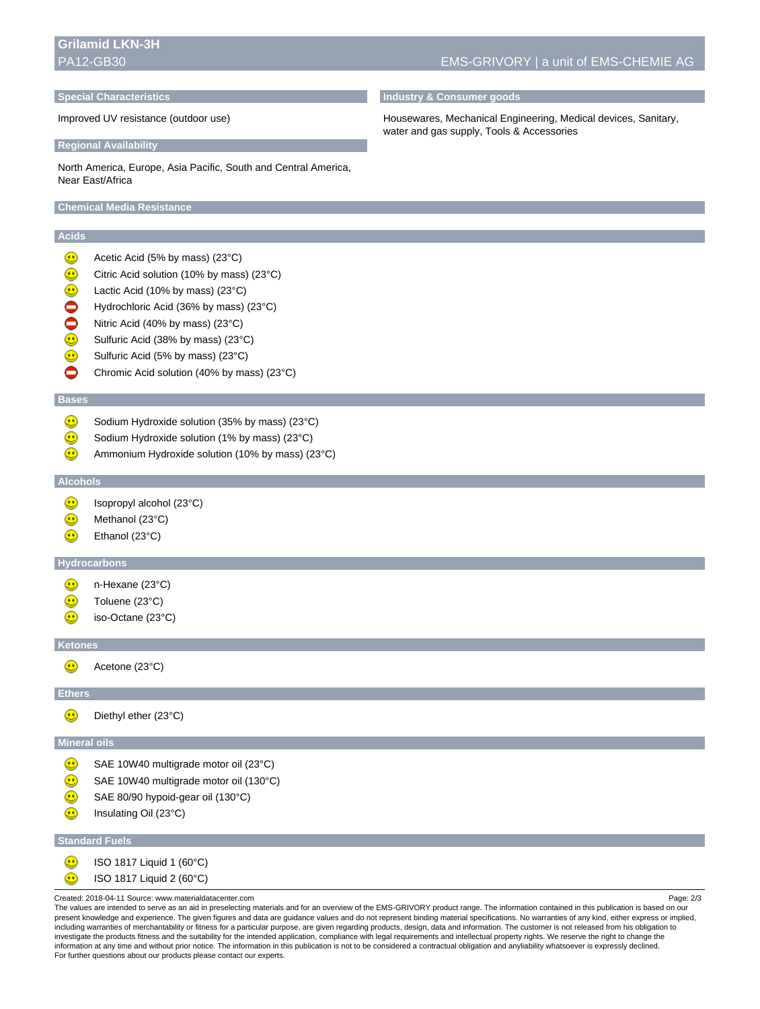#### **Special Characteristics**

Improved UV resistance (outdoor use)

#### **Regional Availability**

North America, Europe, Asia Pacific, South and Central America, Near East/Africa

## **Chemical Media Resistance**

## **Acids**

- $\bigcirc$ Acetic Acid (5% by mass) (23°C)
- $\bigcirc$ Citric Acid solution (10% by mass) (23°C)
- ☺ Lactic Acid (10% by mass) (23°C)
- $\ddot{\bullet}$ Hydrochloric Acid (36% by mass) (23°C)
- Nitric Acid (40% by mass) (23°C)
- $\bar{\bm{\Theta}}$ Sulfuric Acid (38% by mass) (23°C)
- ⊕ Sulfuric Acid (5% by mass) (23°C)
- ◓ Chromic Acid solution (40% by mass) (23°C)

#### **Bases**

- $\bigcirc$ Sodium Hydroxide solution (35% by mass) (23°C)
- $\textcolor{blue}{\textcircled{\tiny 1}}$ Sodium Hydroxide solution (1% by mass) (23°C)
- $\bigcirc$ Ammonium Hydroxide solution (10% by mass) (23°C)

#### **Alcohols**

- $\bigodot$ Isopropyl alcohol (23°C)
- $\circledast$ Methanol (23°C)
- Ethanol (23°C)

## **Hydrocarbons**

- $\textcircled{\tiny{\textcircled{\tiny{1}}}}$ n-Hexane (23°C)
- Toluene (23°C)  $\bigcirc$
- ⊕ iso-Octane (23°C)

#### **Ketones**

 $\bigcirc$ Acetone (23°C)

## **Ethers**

 $\bigodot$ Diethyl ether (23°C)

#### **Mineral oils**

- $\bigcirc$ SAE 10W40 multigrade motor oil (23°C)
- $\textcircled{\small{1}}$ SAE 10W40 multigrade motor oil (130°C)
- $\bigcirc$ SAE 80/90 hypoid-gear oil (130°C)
- $\textcircled{\tiny{\textcircled{\tiny{1}}}}$ Insulating Oil (23°C)

## **Standard Fuels**

- $\textcircled{\tiny{\textcircled{\tiny{1}}}}$ ISO 1817 Liquid 1 (60°C)
- $\textcircled{\scriptsize{1}}$ ISO 1817 Liquid 2 (60°C)

Created: 2018-04-11 Source: www.materialdatacenter.com Page: 2/3

The values are intended to serve as an aid in preselecting materials and for an overview of the EMS-GRIVORY product range. The information contained in this publication is based on our present knowledge and experience. The given figures and data are guidance values and do not represent binding material specifications. No warranties of any kind, either express or implied, including warranties of merchantability or fitness for a particular purpose, are given regarding products, design, data and information. The customer is not released from his obligation to investigate the products fitness and the suitability for the intended application, compliance with legal requirements and intellectual property rights. We reserve the right to change the information at any time and without prior notice. The information in this publication is not to be considered a contractual obligation and anyliability whatsoever is expressly declined. For further questions about our products please contact our experts.

## **Industry & Consumer goods**

Housewares, Mechanical Engineering, Medical devices, Sanitary, water and gas supply, Tools & Accessories